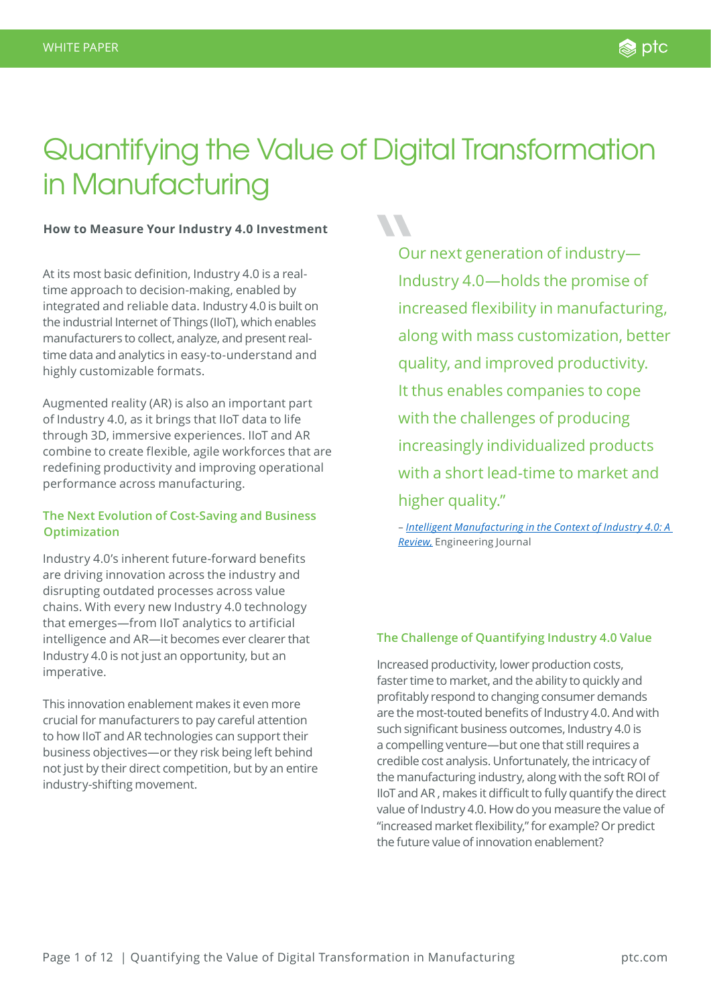# Quantifying the Value of Digital Transformation in Manufacturing

**SSP** 

### **How to Measure Your Industry 4.0 Investment**

At its most basic definition, Industry 4.0 is a realtime approach to decision-making, enabled by integrated and reliable data. Industry 4.0 is built on the industrial Internet of Things (IIoT), which enables manufacturers to collect, analyze, and present realtime data and analytics in easy-to-understand and highly customizable formats.

Augmented reality (AR) is also an important part of Industry 4.0, as it brings that IIoT data to life through 3D, immersive experiences. IIoT and AR combine to create flexible, agile workforces that are redefining productivity and improving operational performance across manufacturing.

### **The Next Evolution of Cost-Saving and Business Optimization**

Industry 4.0's inherent future-forward benefits are driving innovation across the industry and disrupting outdated processes across value chains. With every new Industry 4.0 technology that emerges—from IIoT analytics to artificial intelligence and AR—it becomes ever clearer that Industry 4.0 is not just an opportunity, but an imperative.

This innovation enablement makes it even more crucial for manufacturers to pay careful attention to how IIoT and AR technologies can support their business objectives—or they risk being left behind not just by their direct competition, but by an entire industry-shifting movement.

Our next generation of industry— Industry 4.0—holds the promise of increased flexibility in manufacturing, along with mass customization, better quality, and improved productivity. It thus enables companies to cope with the challenges of producing increasingly individualized products with a short lead-time to market and higher quality."

– *[Intelligent Manufacturing in the Context of Industry 4.0: A](https://www.sciencedirect.com/science/article/pii/S2095809917307130)  [Review,](https://www.sciencedirect.com/science/article/pii/S2095809917307130)* Engineering Journal

### **The Challenge of Quantifying Industry 4.0 Value**

Increased productivity, lower production costs, faster time to market, and the ability to quickly and profitably respond to changing consumer demands are the most-touted benefits of Industry 4.0. And with such significant business outcomes, Industry 4.0 is a compelling venture—but one that still requires a credible cost analysis. Unfortunately, the intricacy of the manufacturing industry, along with the soft ROI of IIoT and AR , makes it difficult to fully quantify the direct value of Industry 4.0. How do you measure the value of "increased market flexibility," for example? Or predict the future value of innovation enablement?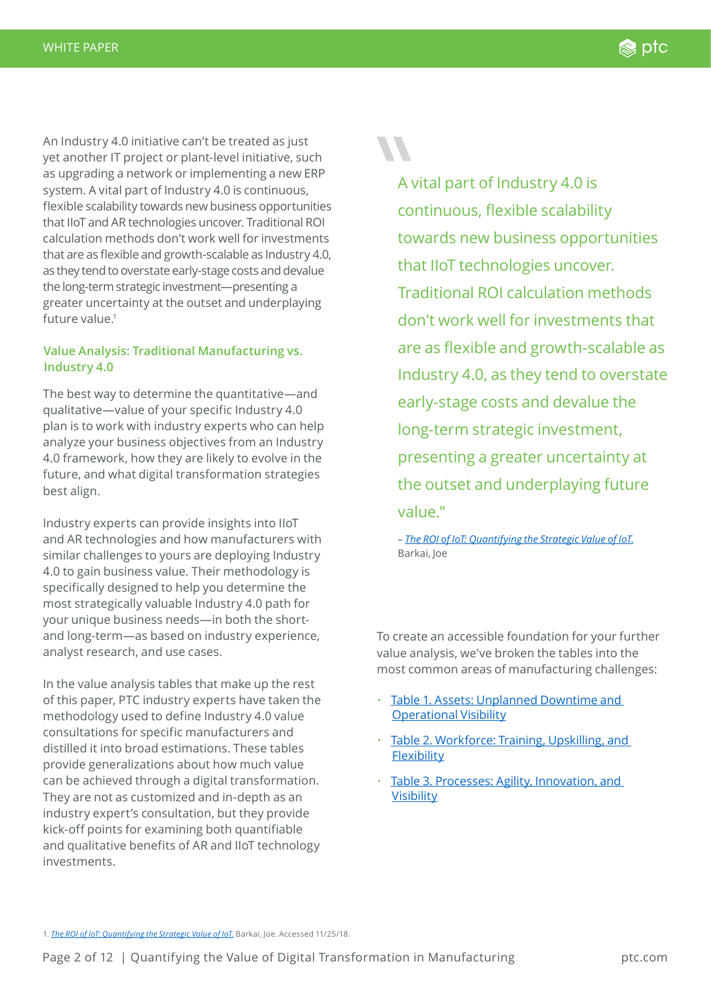An Industry 4.0 initiative can't be treated as just yet another IT project or plant-level initiative, such as upgrading a network or implementing a new ERP system. A vital part of Industry 4.0 is continuous, flexible scalability towards new business opportunities that IIoT and AR technologies uncover. Traditional ROI calculation methods don't work well for investments that are as flexible and growth-scalable as Industry 4.0, as they tend to overstate early-stage costs and devalue the long-term strategic investment—presenting a greater uncertainty at the outset and underplaying future value.1

### **Value Analysis: Traditional Manufacturing vs. Industry 4.0**

The best way to determine the quantitative—and qualitative—value of your specific Industry 4.0 plan is to work with industry experts who can help analyze your business objectives from an Industry 4.0 framework, how they are likely to evolve in the future, and what digital transformation strategies best align.

Industry experts can provide insights into IIoT and AR technologies and how manufacturers with similar challenges to yours are deploying Industry 4.0 to gain business value. Their methodology is specifically designed to help you determine the most strategically valuable Industry 4.0 path for your unique business needs—in both the shortand long-term—as based on industry experience, analyst research, and use cases.

In the value analysis tables that make up the rest of this paper, PTC industry experts have taken the methodology used to define Industry 4.0 value consultations for specific manufacturers and distilled it into broad estimations. These tables provide generalizations about how much value can be achieved through a digital transformation. They are not as customized and in-depth as an industry expert's consultation, but they provide kick-off points for examining both quantifiable and qualitative benefits of AR and IIoT technology investments.

A vital part of Industry 4.0 is continuous, flexible scalability towards new business opportunities that IIoT technologies uncover. Traditional ROI calculation methods don't work well for investments that are as flexible and growth-scalable as Industry 4.0, as they tend to overstate early-stage costs and devalue the long-term strategic investment, presenting a greater uncertainty at the outset and underplaying future value."

– *[The ROI of IoT: Quantifying the Strategic Value of IoT](http://joebarkai.com/roi-of-iot/)*. Barkai, Joe

To create an accessible foundation for your further value analysis, we've broken the tables into the most common areas of manufacturing challenges:

- [Table 1. Assets: Unplanned Downtime and](#page-2-0)  [Operational Visibility](#page-2-0)
- [Table 2. Workforce: Training, Upskilling, and](#page-5-0)  **[Flexibility](#page-5-0)**
- Table 3. Processes: Agility, Innovation, and **[Visibility](#page-8-0)**

1. *[The ROI of IoT: Quantifying the Strategic Value of IoT.](http://joebarkai.com/roi-of-iot/)* Barkai, Joe. Accessed 11/25/18.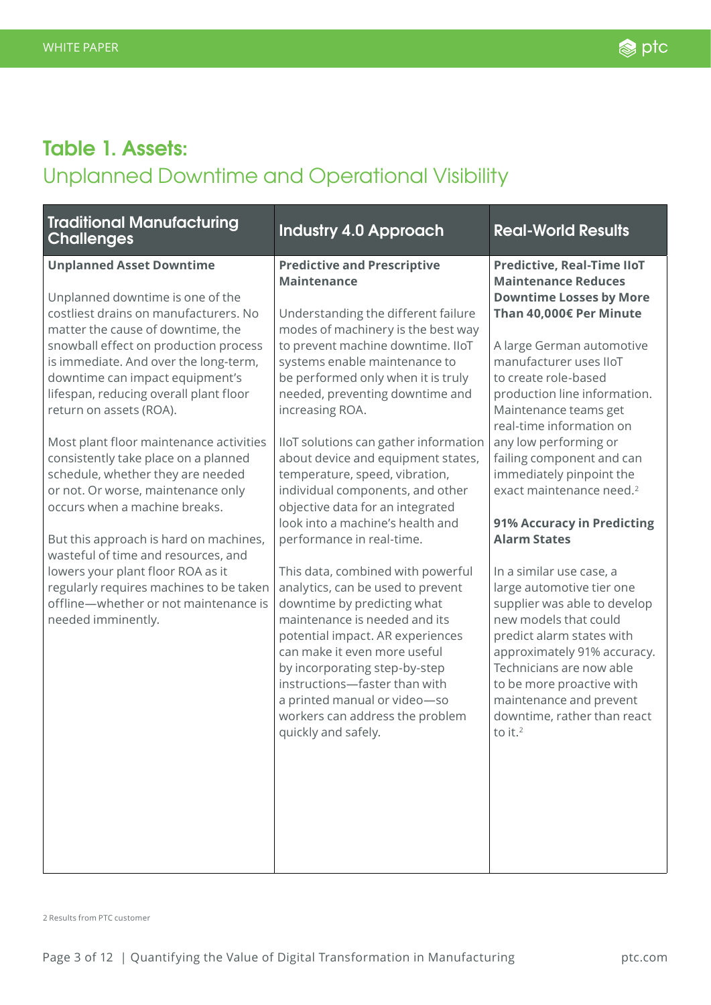### <span id="page-2-0"></span>**Table 1. Assets:**

## Unplanned Downtime and Operational Visibility

| <b>Traditional Manufacturing</b><br><b>Challenges</b>                                                                                                                                                                                                                                                                                                                                                                                                                                                                                                                                                                                                                                                                                                                      | <b>Industry 4.0 Approach</b>                                                                                                                                                                                                                                                                                                                                                                                                                                                                                                                                                                                                                                                                                                                                                                                                                                                                                                                | <b>Real-World Results</b>                                                                                                                                                                                                                                                                                                                                                                                                                                                                                                                                                                                                                                                                                                                                                                             |
|----------------------------------------------------------------------------------------------------------------------------------------------------------------------------------------------------------------------------------------------------------------------------------------------------------------------------------------------------------------------------------------------------------------------------------------------------------------------------------------------------------------------------------------------------------------------------------------------------------------------------------------------------------------------------------------------------------------------------------------------------------------------------|---------------------------------------------------------------------------------------------------------------------------------------------------------------------------------------------------------------------------------------------------------------------------------------------------------------------------------------------------------------------------------------------------------------------------------------------------------------------------------------------------------------------------------------------------------------------------------------------------------------------------------------------------------------------------------------------------------------------------------------------------------------------------------------------------------------------------------------------------------------------------------------------------------------------------------------------|-------------------------------------------------------------------------------------------------------------------------------------------------------------------------------------------------------------------------------------------------------------------------------------------------------------------------------------------------------------------------------------------------------------------------------------------------------------------------------------------------------------------------------------------------------------------------------------------------------------------------------------------------------------------------------------------------------------------------------------------------------------------------------------------------------|
| <b>Unplanned Asset Downtime</b><br>Unplanned downtime is one of the<br>costliest drains on manufacturers. No<br>matter the cause of downtime, the<br>snowball effect on production process<br>is immediate. And over the long-term,<br>downtime can impact equipment's<br>lifespan, reducing overall plant floor<br>return on assets (ROA).<br>Most plant floor maintenance activities<br>consistently take place on a planned<br>schedule, whether they are needed<br>or not. Or worse, maintenance only<br>occurs when a machine breaks.<br>But this approach is hard on machines,<br>wasteful of time and resources, and<br>lowers your plant floor ROA as it<br>regularly requires machines to be taken<br>offline-whether or not maintenance is<br>needed imminently. | <b>Predictive and Prescriptive</b><br><b>Maintenance</b><br>Understanding the different failure<br>modes of machinery is the best way<br>to prevent machine downtime. IIoT<br>systems enable maintenance to<br>be performed only when it is truly<br>needed, preventing downtime and<br>increasing ROA.<br>IIoT solutions can gather information<br>about device and equipment states,<br>temperature, speed, vibration,<br>individual components, and other<br>objective data for an integrated<br>look into a machine's health and<br>performance in real-time.<br>This data, combined with powerful<br>analytics, can be used to prevent<br>downtime by predicting what<br>maintenance is needed and its<br>potential impact. AR experiences<br>can make it even more useful<br>by incorporating step-by-step<br>instructions-faster than with<br>a printed manual or video-so<br>workers can address the problem<br>quickly and safely. | <b>Predictive, Real-Time IIoT</b><br><b>Maintenance Reduces</b><br><b>Downtime Losses by More</b><br>Than 40,000€ Per Minute<br>A large German automotive<br>manufacturer uses lloT<br>to create role-based<br>production line information.<br>Maintenance teams get<br>real-time information on<br>any low performing or<br>failing component and can<br>immediately pinpoint the<br>exact maintenance need. <sup>2</sup><br><b>91% Accuracy in Predicting</b><br><b>Alarm States</b><br>In a similar use case, a<br>large automotive tier one<br>supplier was able to develop<br>new models that could<br>predict alarm states with<br>approximately 91% accuracy.<br>Technicians are now able<br>to be more proactive with<br>maintenance and prevent<br>downtime, rather than react<br>to it. $2$ |

2 Results from PTC customer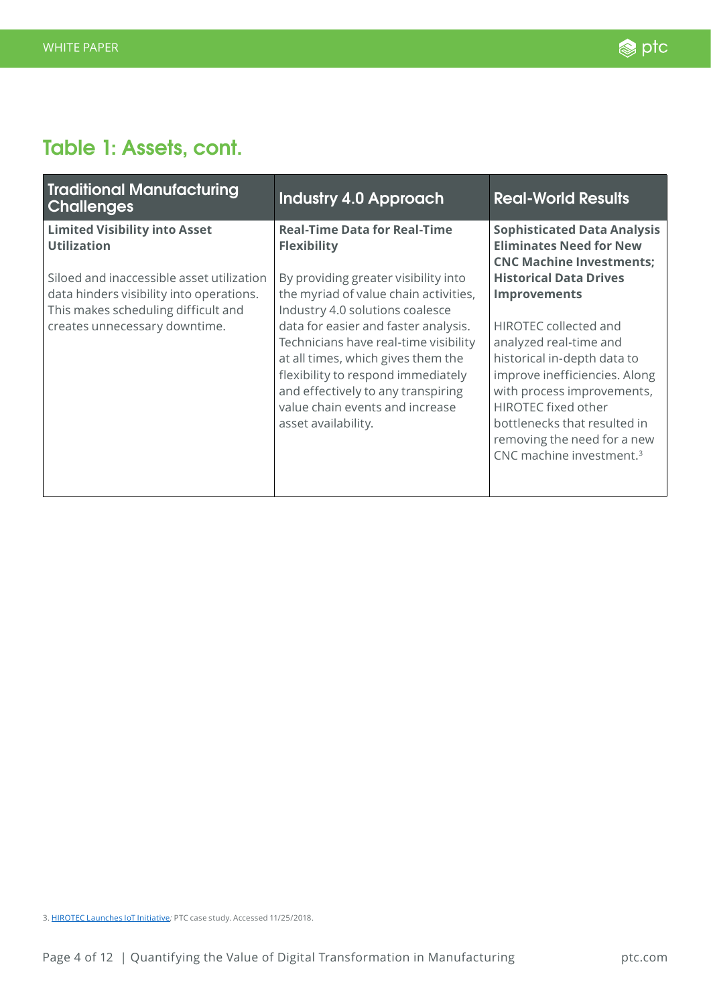## **Table 1: Assets, cont.**

| <b>Traditional Manufacturing</b><br><b>Challenges</b>                                                                                                                                                                       | <b>Industry 4.0 Approach</b>                                                                                                                                                                                                                                                                                                                                                                                                               | <b>Real-World Results</b>                                                                                                                                                                                                                                                                                                                                                                                                             |
|-----------------------------------------------------------------------------------------------------------------------------------------------------------------------------------------------------------------------------|--------------------------------------------------------------------------------------------------------------------------------------------------------------------------------------------------------------------------------------------------------------------------------------------------------------------------------------------------------------------------------------------------------------------------------------------|---------------------------------------------------------------------------------------------------------------------------------------------------------------------------------------------------------------------------------------------------------------------------------------------------------------------------------------------------------------------------------------------------------------------------------------|
| <b>Limited Visibility into Asset</b><br><b>Utilization</b><br>Siloed and inaccessible asset utilization<br>data hinders visibility into operations.<br>This makes scheduling difficult and<br>creates unnecessary downtime. | <b>Real-Time Data for Real-Time</b><br><b>Flexibility</b><br>By providing greater visibility into<br>the myriad of value chain activities,<br>Industry 4.0 solutions coalesce<br>data for easier and faster analysis.<br>Technicians have real-time visibility<br>at all times, which gives them the<br>flexibility to respond immediately<br>and effectively to any transpiring<br>value chain events and increase<br>asset availability. | <b>Sophisticated Data Analysis</b><br><b>Eliminates Need for New</b><br><b>CNC Machine Investments;</b><br><b>Historical Data Drives</b><br><b>Improvements</b><br>HIROTEC collected and<br>analyzed real-time and<br>historical in-depth data to<br>improve inefficiencies. Along<br>with process improvements,<br>HIROTEC fixed other<br>bottlenecks that resulted in<br>removing the need for a new<br>CNC machine investment. $3$ |

<sup>3.</sup> [HIROTEC Launches IoT Initiative](https://www.ptc.com/en/case-studies/hirotec)*;* PTC case study. Accessed 11/25/2018.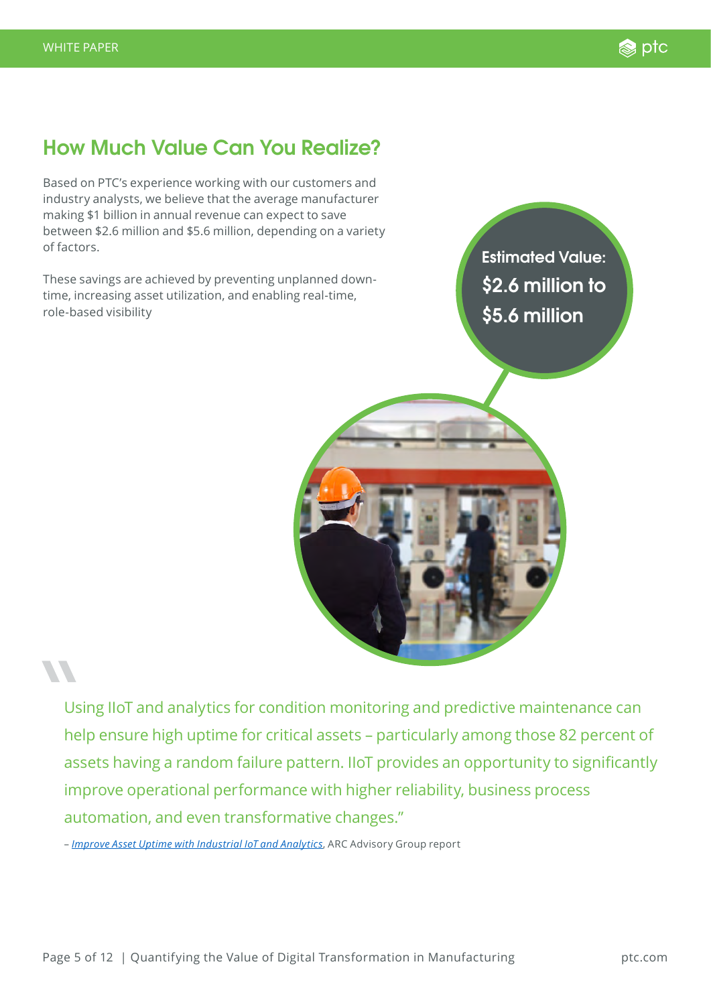

### **How Much Value Can You Realize?**

Based on PTC's experience working with our customers and industry analysts, we believe that the average manufacturer making \$1 billion in annual revenue can expect to save between \$2.6 million and \$5.6 million, depending on a variety of factors.

These savings are achieved by preventing unplanned downtime, increasing asset utilization, and enabling real-time, role-based visibility

**Estimated Value: \$2.6 million to \$5.6 million**



Using IIoT and analytics for condition monitoring and predictive maintenance can help ensure high uptime for critical assets – particularly among those 82 percent of assets having a random failure pattern. IIoT provides an opportunity to significantly improve operational performance with higher reliability, business process automation, and even transformative changes."

– *[Improve Asset Uptime with Industrial IoT and Analytics](https://www.arcweb.com/blog/improve-asset-uptime-industrial-iot-analytics)*, ARC Advisory Group report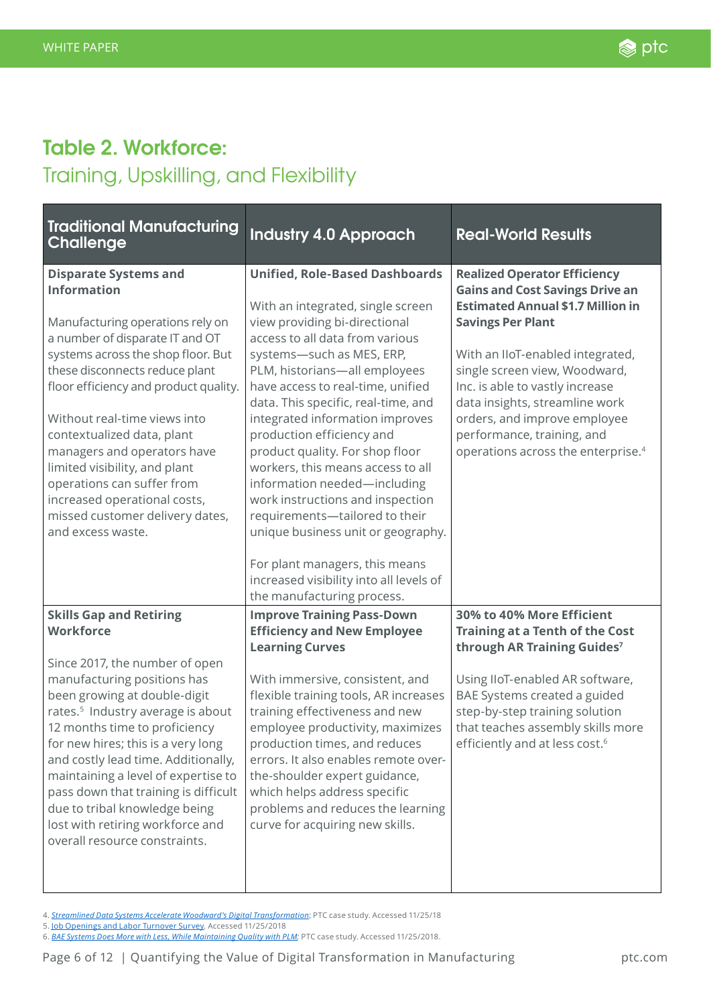## <span id="page-5-0"></span>**Table 2. Workforce:** Training, Upskilling, and Flexibility

| <b>Traditional Manufacturing</b><br><b>Challenge</b>                                                                                                                                                                                                                                                                                                                                                                                                                                                    | <b>Industry 4.0 Approach</b>                                                                                                                                                                                                                                                                                                                                                                                                                                                                                                                                                                                                                                                            | <b>Real-World Results</b>                                                                                                                                                                                                                                                                                                                                                                                       |
|---------------------------------------------------------------------------------------------------------------------------------------------------------------------------------------------------------------------------------------------------------------------------------------------------------------------------------------------------------------------------------------------------------------------------------------------------------------------------------------------------------|-----------------------------------------------------------------------------------------------------------------------------------------------------------------------------------------------------------------------------------------------------------------------------------------------------------------------------------------------------------------------------------------------------------------------------------------------------------------------------------------------------------------------------------------------------------------------------------------------------------------------------------------------------------------------------------------|-----------------------------------------------------------------------------------------------------------------------------------------------------------------------------------------------------------------------------------------------------------------------------------------------------------------------------------------------------------------------------------------------------------------|
| <b>Disparate Systems and</b><br><b>Information</b><br>Manufacturing operations rely on<br>a number of disparate IT and OT<br>systems across the shop floor. But<br>these disconnects reduce plant<br>floor efficiency and product quality.<br>Without real-time views into<br>contextualized data, plant<br>managers and operators have<br>limited visibility, and plant<br>operations can suffer from<br>increased operational costs,<br>missed customer delivery dates,<br>and excess waste.          | <b>Unified, Role-Based Dashboards</b><br>With an integrated, single screen<br>view providing bi-directional<br>access to all data from various<br>systems-such as MES, ERP,<br>PLM, historians-all employees<br>have access to real-time, unified<br>data. This specific, real-time, and<br>integrated information improves<br>production efficiency and<br>product quality. For shop floor<br>workers, this means access to all<br>information needed-including<br>work instructions and inspection<br>requirements-tailored to their<br>unique business unit or geography.<br>For plant managers, this means<br>increased visibility into all levels of<br>the manufacturing process. | <b>Realized Operator Efficiency</b><br><b>Gains and Cost Savings Drive an</b><br><b>Estimated Annual \$1.7 Million in</b><br><b>Savings Per Plant</b><br>With an IIoT-enabled integrated,<br>single screen view, Woodward,<br>Inc. is able to vastly increase<br>data insights, streamline work<br>orders, and improve employee<br>performance, training, and<br>operations across the enterprise. <sup>4</sup> |
| <b>Skills Gap and Retiring</b><br><b>Workforce</b><br>Since 2017, the number of open<br>manufacturing positions has<br>been growing at double-digit<br>rates. <sup>5</sup> Industry average is about<br>12 months time to proficiency<br>for new hires; this is a very long<br>and costly lead time. Additionally,<br>maintaining a level of expertise to<br>pass down that training is difficult<br>due to tribal knowledge being<br>lost with retiring workforce and<br>overall resource constraints. | <b>Improve Training Pass-Down</b><br><b>Efficiency and New Employee</b><br><b>Learning Curves</b><br>With immersive, consistent, and<br>flexible training tools, AR increases<br>training effectiveness and new<br>employee productivity, maximizes<br>production times, and reduces<br>errors. It also enables remote over-<br>the-shoulder expert guidance,<br>which helps address specific<br>problems and reduces the learning<br>curve for acquiring new skills.                                                                                                                                                                                                                   | 30% to 40% More Efficient<br><b>Training at a Tenth of the Cost</b><br>through AR Training Guides <sup>7</sup><br>Using IIoT-enabled AR software,<br>BAE Systems created a guided<br>step-by-step training solution<br>that teaches assembly skills more<br>efficiently and at less cost. <sup>6</sup>                                                                                                          |

<sup>4.</sup> *[Streamlined Data Systems Accelerate Woodward's Digital Transformation](https://www.ptc.com/en/case-studies/woodward)*; PTC case study. Accessed 11/25/18

<sup>5.</sup> [Job Openings and Labor Turnover Survey](https://www.bls.gov/jlt/)*.* Accessed 11/25/2018

<sup>6.</sup> *[BAE Systems Does More with Less, While Maintaining Quality with PLM](https://www.ptc.com/en/case-studies/bae-systems);* PTC case study. Accessed 11/25/2018.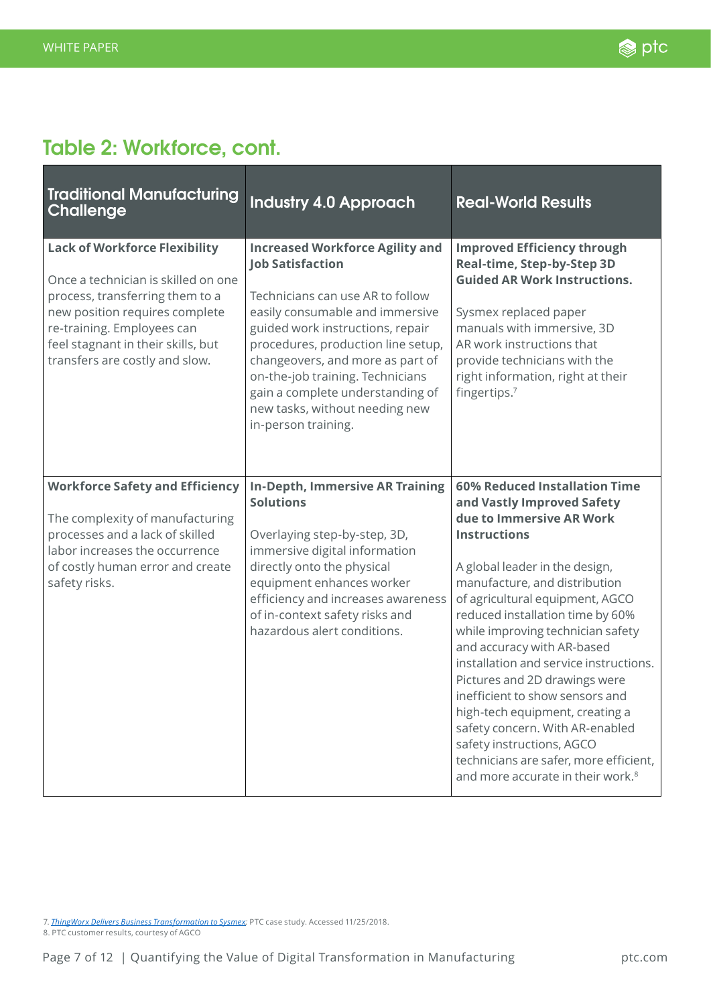## **Table 2: Workforce, cont.**

| <b>Traditional Manufacturing</b><br><b>Challenge</b>                                                                                                                                                                                                   | <b>Industry 4.0 Approach</b>                                                                                                                                                                                                                                                                                                                                                            | <b>Real-World Results</b>                                                                                                                                                                                                                                                                                                                                                                                                                                                                                                                                                                                                               |
|--------------------------------------------------------------------------------------------------------------------------------------------------------------------------------------------------------------------------------------------------------|-----------------------------------------------------------------------------------------------------------------------------------------------------------------------------------------------------------------------------------------------------------------------------------------------------------------------------------------------------------------------------------------|-----------------------------------------------------------------------------------------------------------------------------------------------------------------------------------------------------------------------------------------------------------------------------------------------------------------------------------------------------------------------------------------------------------------------------------------------------------------------------------------------------------------------------------------------------------------------------------------------------------------------------------------|
| <b>Lack of Workforce Flexibility</b><br>Once a technician is skilled on one<br>process, transferring them to a<br>new position requires complete<br>re-training. Employees can<br>feel stagnant in their skills, but<br>transfers are costly and slow. | <b>Increased Workforce Agility and</b><br><b>Job Satisfaction</b><br>Technicians can use AR to follow<br>easily consumable and immersive<br>guided work instructions, repair<br>procedures, production line setup,<br>changeovers, and more as part of<br>on-the-job training. Technicians<br>gain a complete understanding of<br>new tasks, without needing new<br>in-person training. | <b>Improved Efficiency through</b><br>Real-time, Step-by-Step 3D<br><b>Guided AR Work Instructions.</b><br>Sysmex replaced paper<br>manuals with immersive, 3D<br>AR work instructions that<br>provide technicians with the<br>right information, right at their<br>fingertips.7                                                                                                                                                                                                                                                                                                                                                        |
| <b>Workforce Safety and Efficiency</b><br>The complexity of manufacturing<br>processes and a lack of skilled<br>labor increases the occurrence<br>of costly human error and create<br>safety risks.                                                    | <b>In-Depth, Immersive AR Training</b><br><b>Solutions</b><br>Overlaying step-by-step, 3D,<br>immersive digital information<br>directly onto the physical<br>equipment enhances worker<br>efficiency and increases awareness<br>of in-context safety risks and<br>hazardous alert conditions.                                                                                           | 60% Reduced Installation Time<br>and Vastly Improved Safety<br>due to Immersive AR Work<br><b>Instructions</b><br>A global leader in the design,<br>manufacture, and distribution<br>of agricultural equipment, AGCO<br>reduced installation time by 60%<br>while improving technician safety<br>and accuracy with AR-based<br>installation and service instructions.<br>Pictures and 2D drawings were<br>inefficient to show sensors and<br>high-tech equipment, creating a<br>safety concern. With AR-enabled<br>safety instructions, AGCO<br>technicians are safer, more efficient,<br>and more accurate in their work. <sup>8</sup> |

7. *[ThingWorx Delivers Business Transformation to Sysmex;](https://www.ptc.com/en/case-studies/sysmex-iot-business-transformation)* PTC case study. Accessed 11/25/2018.

8. PTC customer results, courtesy of AGCO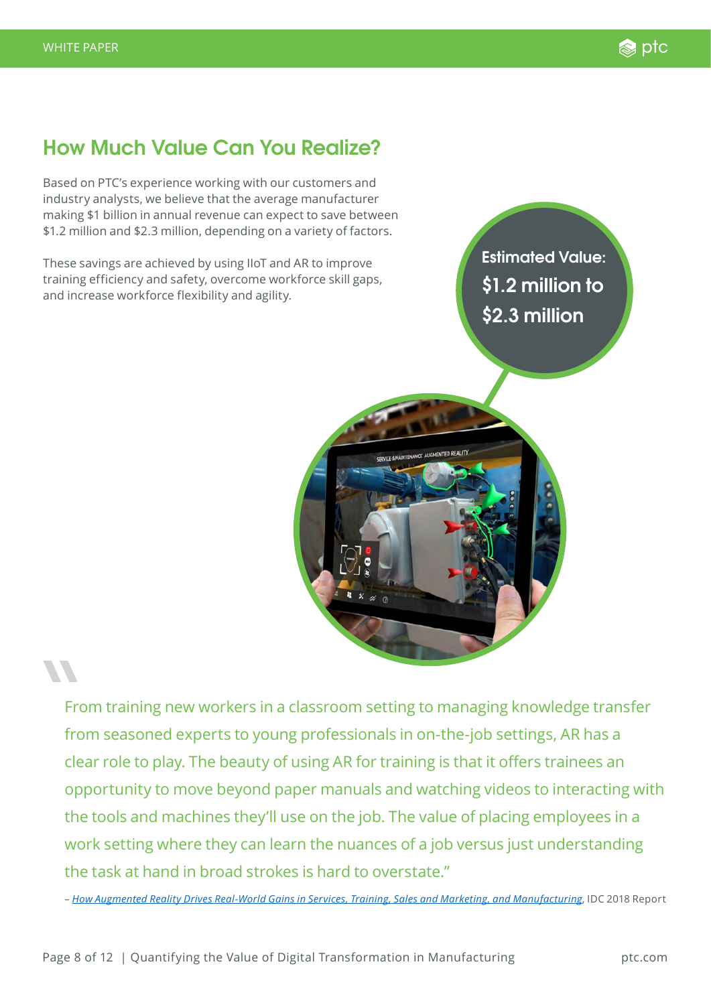## **How Much Value Can You Realize?**

Based on PTC's experience working with our customers and industry analysts, we believe that the average manufacturer making \$1 billion in annual revenue can expect to save between \$1.2 million and \$2.3 million, depending on a variety of factors.

These savings are achieved by using IIoT and AR to improve training efficiency and safety, overcome workforce skill gaps, and increase workforce flexibility and agility.

**Estimated Value: \$1.2 million to \$2.3 million**



From training new workers in a classroom setting to managing knowledge transfer from seasoned experts to young professionals in on-the-job settings, AR has a clear role to play. The beauty of using AR for training is that it offers trainees an opportunity to move beyond paper manuals and watching videos to interacting with the tools and machines they'll use on the job. The value of placing employees in a work setting where they can learn the nuances of a job versus just understanding the task at hand in broad strokes is hard to overstate."

– *[How Augmented Reality Drives Real-World Gains in Services, Training, Sales and Marketing, and Manufacturing](https://www.tristar.com/wp-content/uploads/2018/08/IDC-AR-Use-Cases-Report.pdf)*, IDC 2018 Report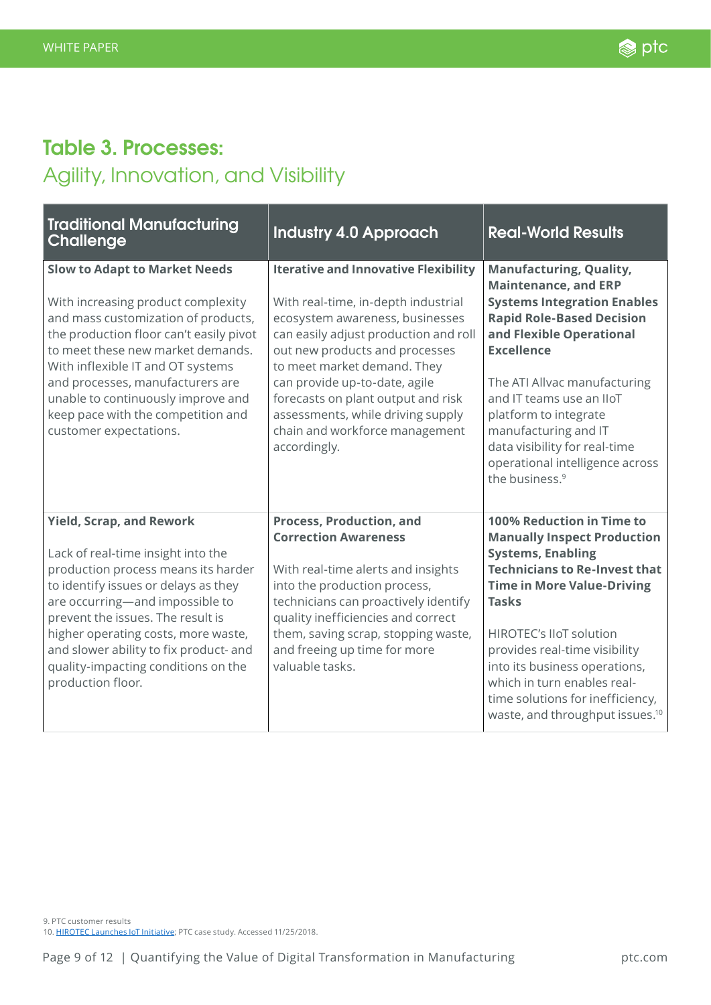## <span id="page-8-0"></span>**Table 3. Processes:**  Agility, Innovation, and Visibility

| <b>Traditional Manufacturing</b><br><b>Challenge</b>                                                                                                                                                                                                                                                                                                                             | <b>Industry 4.0 Approach</b>                                                                                                                                                                                                                                                                                                                                                                  | <b>Real-World Results</b>                                                                                                                                                                                                                                                                                                                                                                                      |
|----------------------------------------------------------------------------------------------------------------------------------------------------------------------------------------------------------------------------------------------------------------------------------------------------------------------------------------------------------------------------------|-----------------------------------------------------------------------------------------------------------------------------------------------------------------------------------------------------------------------------------------------------------------------------------------------------------------------------------------------------------------------------------------------|----------------------------------------------------------------------------------------------------------------------------------------------------------------------------------------------------------------------------------------------------------------------------------------------------------------------------------------------------------------------------------------------------------------|
| <b>Slow to Adapt to Market Needs</b><br>With increasing product complexity<br>and mass customization of products,<br>the production floor can't easily pivot<br>to meet these new market demands.<br>With inflexible IT and OT systems<br>and processes, manufacturers are<br>unable to continuously improve and<br>keep pace with the competition and<br>customer expectations. | <b>Iterative and Innovative Flexibility</b><br>With real-time, in-depth industrial<br>ecosystem awareness, businesses<br>can easily adjust production and roll<br>out new products and processes<br>to meet market demand. They<br>can provide up-to-date, agile<br>forecasts on plant output and risk<br>assessments, while driving supply<br>chain and workforce management<br>accordingly. | <b>Manufacturing, Quality,</b><br><b>Maintenance, and ERP</b><br><b>Systems Integration Enables</b><br><b>Rapid Role-Based Decision</b><br>and Flexible Operational<br><b>Excellence</b><br>The ATI Allvac manufacturing<br>and IT teams use an IIoT<br>platform to integrate<br>manufacturing and IT<br>data visibility for real-time<br>operational intelligence across<br>the business. <sup>9</sup>        |
| <b>Yield, Scrap, and Rework</b><br>Lack of real-time insight into the<br>production process means its harder<br>to identify issues or delays as they<br>are occurring-and impossible to<br>prevent the issues. The result is<br>higher operating costs, more waste,<br>and slower ability to fix product- and<br>quality-impacting conditions on the<br>production floor.        | <b>Process, Production, and</b><br><b>Correction Awareness</b><br>With real-time alerts and insights<br>into the production process,<br>technicians can proactively identify<br>quality inefficiencies and correct<br>them, saving scrap, stopping waste,<br>and freeing up time for more<br>valuable tasks.                                                                                  | 100% Reduction in Time to<br><b>Manually Inspect Production</b><br><b>Systems, Enabling</b><br><b>Technicians to Re-Invest that</b><br><b>Time in More Value-Driving</b><br><b>Tasks</b><br><b>HIROTEC's IIoT solution</b><br>provides real-time visibility<br>into its business operations,<br>which in turn enables real-<br>time solutions for inefficiency,<br>waste, and throughput issues. <sup>10</sup> |

9. PTC customer results 10. [HIROTEC Launches IoT Initiative](http://www.ptc.es/en/case-studies/hirotec); PTC case study. Accessed 11/25/2018.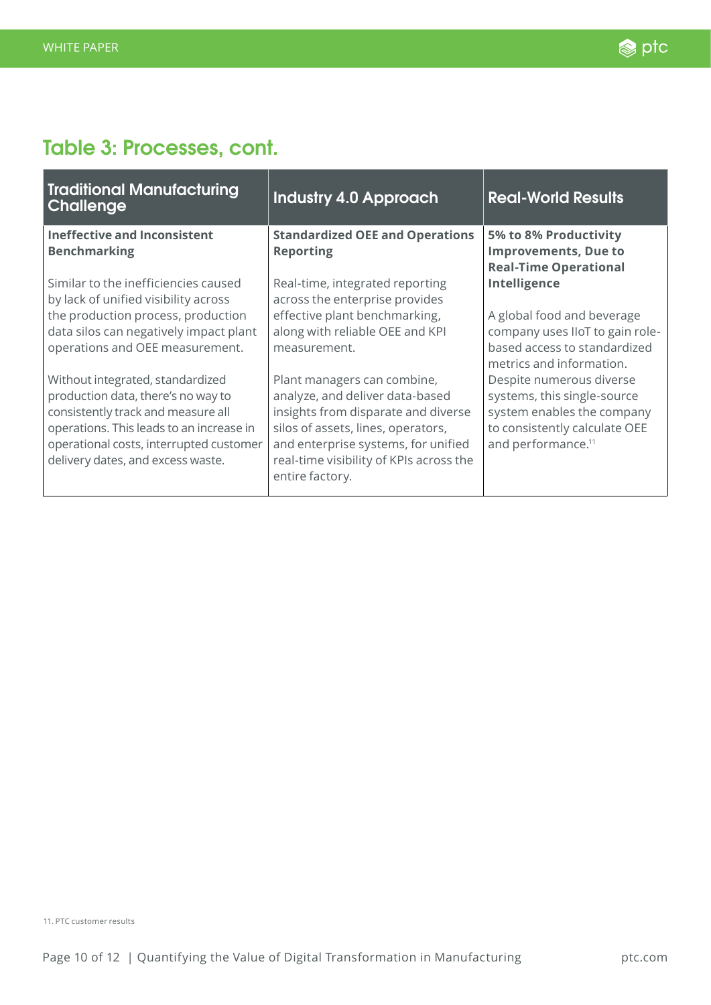## **Table 3: Processes, cont.**

| <b>Traditional Manufacturing</b><br>Challenge                                                                                                                                                                                            | <b>Industry 4.0 Approach</b>                                                                                                                                                                                                                     | <b>Real-World Results</b>                                                                                                                                |
|------------------------------------------------------------------------------------------------------------------------------------------------------------------------------------------------------------------------------------------|--------------------------------------------------------------------------------------------------------------------------------------------------------------------------------------------------------------------------------------------------|----------------------------------------------------------------------------------------------------------------------------------------------------------|
| <b>Ineffective and Inconsistent</b><br><b>Benchmarking</b>                                                                                                                                                                               | <b>Standardized OEE and Operations</b><br><b>Reporting</b>                                                                                                                                                                                       | 5% to 8% Productivity<br><b>Improvements, Due to</b><br><b>Real-Time Operational</b>                                                                     |
| Similar to the inefficiencies caused<br>by lack of unified visibility across<br>the production process, production                                                                                                                       | Real-time, integrated reporting<br>across the enterprise provides<br>effective plant benchmarking,                                                                                                                                               | Intelligence<br>A global food and beverage                                                                                                               |
| data silos can negatively impact plant<br>operations and OEE measurement.                                                                                                                                                                | along with reliable OEE and KPI<br>measurement.                                                                                                                                                                                                  | company uses IIoT to gain role-<br>based access to standardized<br>metrics and information.                                                              |
| Without integrated, standardized<br>production data, there's no way to<br>consistently track and measure all<br>operations. This leads to an increase in<br>operational costs, interrupted customer<br>delivery dates, and excess waste. | Plant managers can combine,<br>analyze, and deliver data-based<br>insights from disparate and diverse<br>silos of assets, lines, operators,<br>and enterprise systems, for unified<br>real-time visibility of KPIs across the<br>entire factory. | Despite numerous diverse<br>systems, this single-source<br>system enables the company<br>to consistently calculate OEE<br>and performance. <sup>11</sup> |

11. PTC customer results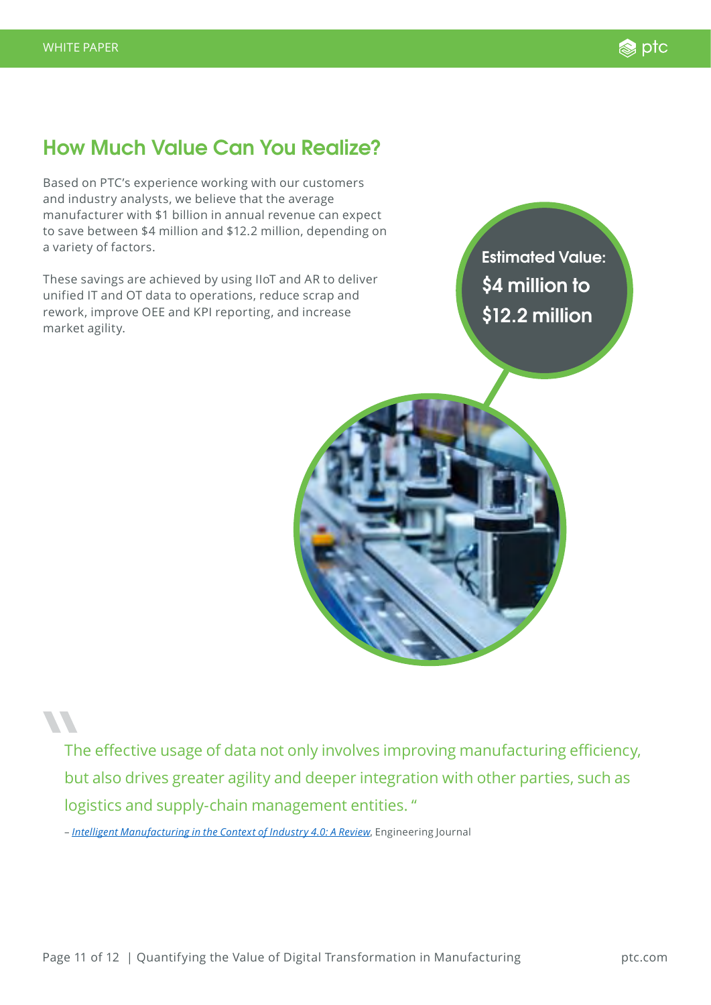### **How Much Value Can You Realize?**

Based on PTC's experience working with our customers and industry analysts, we believe that the average manufacturer with \$1 billion in annual revenue can expect to save between \$4 million and \$12.2 million, depending on a variety of factors.

These savings are achieved by using IIoT and AR to deliver unified IT and OT data to operations, reduce scrap and rework, improve OEE and KPI reporting, and increase market agility.

**Estimated Value: \$4 million to \$12.2 million**



The effective usage of data not only involves improving manufacturing efficiency, but also drives greater agility and deeper integration with other parties, such as logistics and supply-chain management entities. "

– *[Intelligent Manufacturing in the Context of Industry 4.0: A Review](https://www.sciencedirect.com/science/article/pii/S2095809917307130)*, Engineering Journal